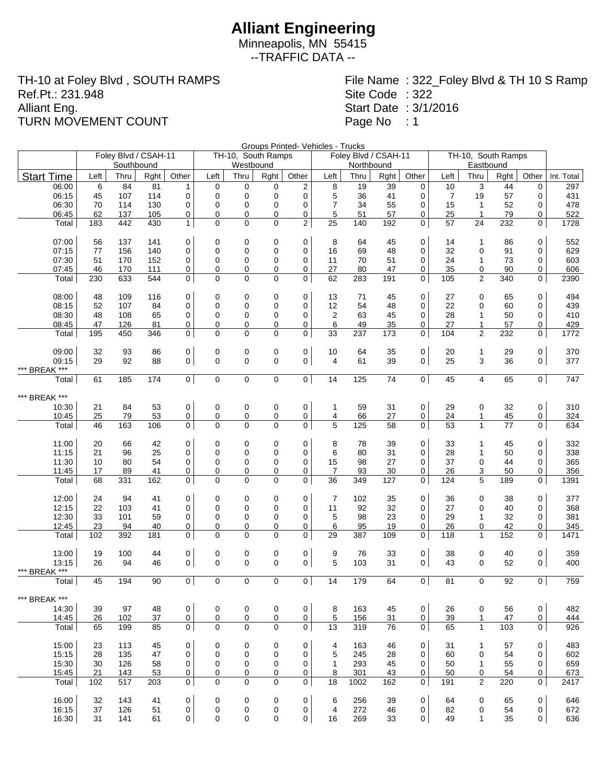Minneapolis, MN 55415 --TRAFFIC DATA --

TH-10 at Foley Blvd , SOUTH RAMPS Ref.Pt.: 231.948 Alliant Eng. TURN MOVEMENT COUNT

File Name : 322\_Foley Blvd & TH 10 S Ramp Site Code : 322 Start Date : 3/1/2016 Page No : 1

Groups Printed- Vehicles - Trucks

|                        |           | Foley Blvd / CSAH-11<br>Southbound |            |                   |                  | TH-10, South Ramps<br>Westbound |                  |                     |                      | Foley Blvd / CSAH-11<br>Northbound |           |                  | TH-10, South Ramps |                              |           |                |             |
|------------------------|-----------|------------------------------------|------------|-------------------|------------------|---------------------------------|------------------|---------------------|----------------------|------------------------------------|-----------|------------------|--------------------|------------------------------|-----------|----------------|-------------|
| <b>Start Time</b>      | Left      | Thru                               | Rght       | Other             | Left             | Thru                            | Rght             | Other               | Left                 | Thru                               | Rght      | Other            | Left               | Eastbound<br>Thru            | Rght      | Other          | Int. Total  |
| 06:00                  | 6         | 84                                 | 81         | $\mathbf{1}$      | 0                | 0                               | 0                | 2                   | 8                    | 19                                 | 39        | 0                | 10                 | 3                            | 44        | 0              | 297         |
| 06:15                  | 45        | 107                                | 114        | 0                 | $\mathbf 0$      | 0                               | 0                | 0                   | 5                    | 36                                 | 41        | 0                | 7                  | 19                           | 57        | 0              | 431         |
| 06:30                  | 70        | 114                                | 130        | $\mathbf 0$       | 0                | 0                               | $\mathbf 0$      | 0                   | $\overline{7}$       | 34                                 | 55        | 0                | 15                 | $\mathbf{1}$                 | 52        | 0              | 478         |
| 06:45                  | 62        | 137                                | 105        | 0                 | 0                | 0                               | 0                | 0                   | 5                    | 51                                 | 57        | 0                | 25                 | $\mathbf{1}$                 | 79        | 0              | 522         |
| Total                  | 183       | 442                                | 430        | $\mathbf{1}$      | 0                | 0                               | $\mathbf 0$      | $\overline{2}$      | 25                   | 140                                | 192       | $\mathbf 0$      | 57                 | 24                           | 232       | 0              | 1728        |
| 07:00                  | 56        | 137                                | 141        | 0                 | 0                | 0                               | $\mathbf 0$      | 0                   | 8                    | 64                                 | 45        | 0                | 14                 | 1                            | 86        | 0              | 552         |
| 07:15                  | 77        | 156                                | 140        | 0                 | 0                | 0                               | 0                | 0                   | 16                   | 69                                 | 48        | 0                | 32                 | $\mathbf 0$                  | 91        | $\mathbf 0$    | 629         |
| 07:30<br>07:45         | 51<br>46  | 170<br>170                         | 152<br>111 | 0<br>0            | 0<br>0           | 0<br>0                          | 0<br>0           | 0<br>0              | 11<br>27             | 70<br>80                           | 51<br>47  | 0<br>0           | 24<br>35           | 1<br>0                       | 73<br>90  | 0<br>0         | 603<br>606  |
| Total                  | 230       | 633                                | 544        | $\mathbf{0}$      | $\Omega$         | $\mathbf 0$                     | $\mathbf 0$      | $\mathbf 0$         | 62                   | 283                                | 191       | $\mathbf 0$      | 105                | 2                            | 340       | 0              | 2390        |
| 08:00                  | 48        | 109                                | 116        | 0                 | 0                | 0                               | 0                | 0                   | 13                   | 71                                 | 45        | 0                | 27                 | 0                            | 65        | 0              | 494         |
| 08:15                  | 52        | 107                                | 84         | $\mathbf 0$       | 0                | 0                               | 0                | 0                   | 12                   | 54                                 | 48        | 0                | 22                 | $\mathbf 0$                  | 60        | 0              | 439         |
| 08:30                  | 48        | 108                                | 65         | 0                 | 0                | 0                               | 0                | 0                   | 2                    | 63                                 | 45        | 0                | 28                 | 1                            | 50        | 0              | 410         |
| 08:45                  | 47        | 126                                | 81         | 0                 | 0                | 0                               | 0                | 0                   | 6                    | 49                                 | 35        | 0                | 27                 | 1                            | 57        | 0              | 429         |
| Total                  | 195       | 450                                | 346        | 0                 | $\Omega$         | $\Omega$                        | $\mathbf 0$      | 0                   | 33                   | 237                                | 173       | 0                | 104                | 2                            | 232       | 0              | 1772        |
| 09:00                  | 32        | 93                                 | 86         | $\mathbf 0$       | 0                | 0                               | 0                | 0                   | 10                   | 64                                 | 35        | 0                | 20                 | 1                            | 29        | 0              | 370         |
| 09:15<br>*** BREAK *** | 29        | 92                                 | 88         | $\mathbf{0}$      | $\mathbf 0$      | 0                               | $\mathbf 0$      | $\overline{0}$      | $\overline{4}$       | 61                                 | 39        | 0                | 25                 | 3                            | 36        | $\overline{0}$ | 377         |
| Total                  | 61        | 185                                | 174        | 0                 | $\mathbf 0$      | $\mathbf 0$                     | $\pmb{0}$        | $\overline{0}$      | 14                   | 125                                | 74        | 0                | 45                 | 4                            | 65        | 0 <sup>1</sup> | 747         |
| *** BREAK ***          |           |                                    |            |                   |                  |                                 |                  |                     |                      |                                    |           |                  |                    |                              |           |                |             |
| 10:30                  | 21        | 84                                 | 53         | $\mathbf 0$       | 0                | 0                               | 0                | 0                   | $\mathbf{1}$         | 59                                 | 31        | 0                | 29                 | 0                            | 32        | 0              | 310         |
| 10:45                  | 25        | 79                                 | 53         | 0                 | 0                | $\overline{0}$                  | 0                | 0                   | 4                    | 66                                 | 27        | 0                | 24                 | 1                            | 45        | 0              | 324         |
| Total                  | 46        | 163                                | 106        | 0                 | 0                | $\mathbf 0$                     | $\mathbf 0$      | 0                   | 5                    | 125                                | 58        | 0                | 53                 | $\mathbf{1}$                 | 77        | 0              | 634         |
| 11:00                  | 20        | 66                                 | 42         | 0                 | 0                | 0                               | $\mathbf 0$      | 0                   | 8                    | 78                                 | 39        | 0                | 33                 | $\mathbf{1}$                 | 45        | 0              | 332         |
| 11:15                  | 21        | 96                                 | 25         | 0                 | 0                | $\mathbf 0$                     | $\mathbf 0$      | 0                   | 6                    | 80                                 | 31        | 0                | 28                 | 1                            | 50        | 0              | 338         |
| 11:30                  | 10        | 80                                 | 54         | 0                 | 0                | 0                               | 0                | 0                   | 15                   | 98                                 | 27        | 0                | 37                 | 0                            | 44        | 0              | 365         |
| 11:45<br>Total         | 17<br>68  | 89<br>331                          | 41<br>162  | 0<br>$\mathbf{0}$ | 0<br>$\Omega$    | 0<br>$\Omega$                   | 0<br>$\mathbf 0$ | 0<br>0              | 7<br>36              | 93<br>349                          | 30<br>127 | 0<br>0           | 26<br>124          | 3<br>5                       | 50<br>189 | 0<br>0         | 356<br>1391 |
|                        |           |                                    |            |                   |                  |                                 |                  |                     |                      |                                    |           |                  |                    |                              |           |                |             |
| 12:00                  | 24        | 94                                 | 41         | 0                 | 0                | 0                               | 0                | 0                   | 7                    | 102                                | 35        | 0                | 36                 | 0                            | 38        | 0              | 377         |
| 12:15                  | 22        | 103                                | 41         | $\mathbf 0$       | 0                | 0                               | 0                | $\mathbf 0$         | 11                   | 92                                 | 32        | 0                | 27                 | 0                            | 40        | 0              | 368         |
| 12:30                  | 33        | 101                                | 59         | $\mathbf 0$       | 0                | 0                               | 0                | 0                   | 5                    | 98                                 | 23        | 0                | 29                 | 1                            | 32        | 0              | 381         |
| 12:45<br>Total         | 23<br>102 | 94<br>392                          | 40<br>181  | 0<br>0            | 0<br>$\Omega$    | 0<br>0                          | 0<br>$\mathbf 0$ | 0<br>0              | 6<br>29              | 95<br>387                          | 19<br>109 | 0<br>0           | 26<br>118          | 0<br>$\mathbf{1}$            | 42<br>152 | 0<br>0         | 345<br>1471 |
| 13:00                  | 19        | 100                                | 44         | $\mathbf 0$       | 0                | 0                               | 0                | 0                   | 9                    | 76                                 | 33        | 0                | 38                 | 0                            | 40        | 0              | 359         |
| 13:15                  | 26        | 94                                 | 46         | $\mathbf{0}$      | 0                | $\mathbf 0$                     | $\mathbf 0$      | $\overline{0}$      | 5                    | 103                                | 31        | 0                | 43                 | $\mathbf 0$                  | 52        | $\overline{0}$ | 400         |
| *** BREAK ***          |           |                                    |            |                   |                  |                                 |                  |                     |                      |                                    |           |                  |                    |                              |           |                |             |
| Total                  | 45        | 194                                | 90         | 0 <sup>1</sup>    | $\mathbf 0$      | $\mathbf 0$                     | $\mathbf 0$      | $\overline{0}$      | 14                   | 179                                | 64        | $\overline{0}$   | 81                 | $\mathbf 0$                  | 92        | $\overline{0}$ | 759         |
| BREAK ***              |           |                                    |            |                   |                  |                                 |                  |                     |                      |                                    |           |                  |                    |                              |           |                |             |
| 14:30                  | 39        | 97                                 | 48         | $\mathbf 0$       | 0                | 0                               | 0                | 0                   | 8                    | 163                                | 45        | 0                | 26                 | 0                            | 56        | 0              | 482         |
| 14:45<br>Total         | 26<br>65  | 102<br>199                         | 37<br>85   | 0<br>$\mathbf 0$  | 0<br>$\mathbf 0$ | 0<br>0                          | 0<br>$\mathbf 0$ | $\overline{0}$<br>0 | $\overline{5}$<br>13 | 156<br>319                         | 31<br>76  | 0<br>$\mathbf 0$ | 39<br>65           | $\mathbf{1}$<br>$\mathbf{1}$ | 47<br>103 | 0<br>0         | 444<br>926  |
|                        |           |                                    |            |                   |                  |                                 |                  |                     |                      |                                    |           |                  |                    |                              |           |                |             |
| 15:00                  | 23        | 113                                | 45         | 0                 | 0<br>0           | 0<br>0                          | 0<br>0           | 0<br>0              | 4                    | 163                                | 46        | 0<br>0           | 31                 | 1<br>0                       | 57        | 0<br>0         | 483         |
| 15:15<br>15:30         | 28<br>30  | 135<br>126                         | 47<br>58   | 0<br>0            | 0                | 0                               | 0                | 0                   | 5<br>$\mathbf{1}$    | 245<br>293                         | 28<br>45  | 0                | 60<br>50           | $\mathbf{1}$                 | 54<br>55  | 0              | 602<br>659  |
| 15:45                  | 21        | 143                                | 53         | 0                 | 0                | 0                               | 0                | 0                   | 8                    | 301                                | 43        | 0                | 50                 | 0                            | 54        | 0              | 673         |
| Total                  | 102       | 517                                | 203        | $\mathbf 0$       | 0                | $\mathbf 0$                     | 0                | $\mathbf 0$         | 18                   | 1002                               | 162       | 0                | 191                | 2                            | 220       | 0              | 2417        |
| 16:00                  | 32        | 143                                | 41         | $\mathbf 0$       |                  |                                 |                  | $\mathbf 0$         |                      | 256                                | 39        | 0                | 64                 | 0                            | 65        | 0              | 646         |
| 16:15                  | 37        | 126                                | 51         | 0                 | 0<br>0           | 0<br>0                          | 0<br>0           | 0                   | 6<br>4               | 272                                | 46        | 0                | 82                 | 0                            | 54        | 0              | 672         |
| 16:30                  | 31        | 141                                | 61         | 0                 | 0                | 0                               | 0                | 0                   | 16                   | 269                                | 33        | 0                | 49                 | $\mathbf{1}$                 | 35        | 0              | 636         |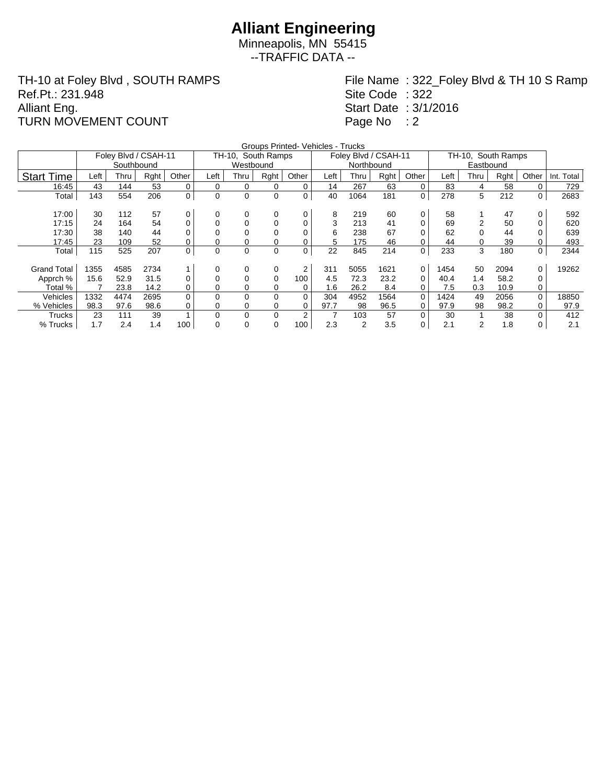Minneapolis, MN 55415 --TRAFFIC DATA --

TH-10 at Foley Blvd , SOUTH RAMPS Ref.Pt.: 231.948 Alliant Eng. TURN MOVEMENT COUNT

File Name : 322\_Foley Blvd & TH 10 S Ramp Site Code : 322 Start Date : 3/1/2016 Page No : 2

|                    |      |                      |      |             |             |                    |      | Groups Printed- Vehicles - Trucks |      |                      |      |             |                    |      |      |          |            |
|--------------------|------|----------------------|------|-------------|-------------|--------------------|------|-----------------------------------|------|----------------------|------|-------------|--------------------|------|------|----------|------------|
|                    |      | Foley Blvd / CSAH-11 |      |             |             | TH-10, South Ramps |      |                                   |      | Foley Blvd / CSAH-11 |      |             | TH-10, South Ramps |      |      |          |            |
|                    |      | Southbound           |      |             |             | Westbound          |      |                                   |      | Northbound           |      |             |                    |      |      |          |            |
| <b>Start Time</b>  | Left | Thru                 | Rght | Other       | Left        | Thru               | Rght | Other                             | Left | Thru                 | Rght | Other       | Left               | Thru | Rght | Other    | Int. Total |
| 16:45              | 43   | 144                  | 53   | $\mathbf 0$ | 0           | 0                  | 0    | 0                                 | 14   | 267                  | 63   | 0           | 83                 | 4    | 58   |          | 729        |
| Total              | 143  | 554                  | 206  | 0           | $\mathbf 0$ | 0                  | 0    | 0                                 | 40   | 1064                 | 181  | $\mathbf 0$ | 278                | 5    | 212  | 0        | 2683       |
|                    |      |                      |      |             |             |                    |      |                                   |      |                      |      |             |                    |      |      |          |            |
| 17:00              | 30   | 112                  | 57   | 0           | 0           | 0                  | 0    | 0                                 | 8    | 219                  | 60   | 0           | 58                 |      | 47   |          | 592        |
| 17:15              | 24   | 164                  | 54   | 0           | 0           | 0                  | 0    | 0                                 | 3    | 213                  | 41   |             | 69                 |      | 50   |          | 620        |
| 17:30              | 38   | 140                  | 44   | 0           |             | 0                  | 0    | 0                                 | 6    | 238                  | 67   |             | 62                 |      | 44   |          | 639        |
| 17:45              | 23   | 109                  | 52   | 0           | 0           | 0                  | 0    | 0                                 | 5.   | 175                  | 46   |             | 44                 |      | 39   |          | 493        |
| Total              | 115  | 525                  | 207  | $\pmb{0}$   | 0           | 0                  | 0    | 0                                 | 22   | 845                  | 214  | 0           | 233                | 3    | 180  | 0        | 2344       |
|                    |      |                      |      |             |             |                    |      |                                   |      |                      |      |             |                    |      |      |          |            |
| <b>Grand Total</b> | 1355 | 4585                 | 2734 | 1           | 0           | 0                  | 0    | 2                                 | 311  | 5055                 | 1621 | 0           | 1454               | 50   | 2094 |          | 19262      |
| Apprch %           | 15.6 | 52.9                 | 31.5 | 0           | 0           | 0                  | 0    | 100                               | 4.5  | 72.3                 | 23.2 | 0           | 40.4               | 1.4  | 58.2 |          |            |
| Total %            |      | 23.8                 | 14.2 | 0           | 0           | 0                  | 0    | 0                                 | 1.6  | 26.2                 | 8.4  |             | 7.5                | 0.3  | 10.9 | 0        |            |
| Vehicles           | 1332 | 4474                 | 2695 | $\Omega$    | 0           | $\Omega$           | 0    | $\Omega$                          | 304  | 4952                 | 1564 | $\Omega$    | 1424               | 49   | 2056 | $\Omega$ | 18850      |
| % Vehicles         | 98.3 | 97.6                 | 98.6 | 0           | 0           | 0                  | 0    | 0                                 | 97.7 | 98                   | 96.5 | 0           | 97.9               | 98   | 98.2 |          | 97.9       |
| Trucks             | 23   | 111                  | 39   |             | 0           | 0                  | 0    | $\overline{2}$                    |      | 103                  | 57   | $\Omega$    | 30                 |      | 38   |          | 412        |
| % Trucks           | 1.7  | 2.4                  | 1.4  | 100         | $\Omega$    | 0                  | 0    | 100                               | 2.3  | 2                    | 3.5  | 0           | 2.1                | 2    | 1.8  | 0        | 2.1        |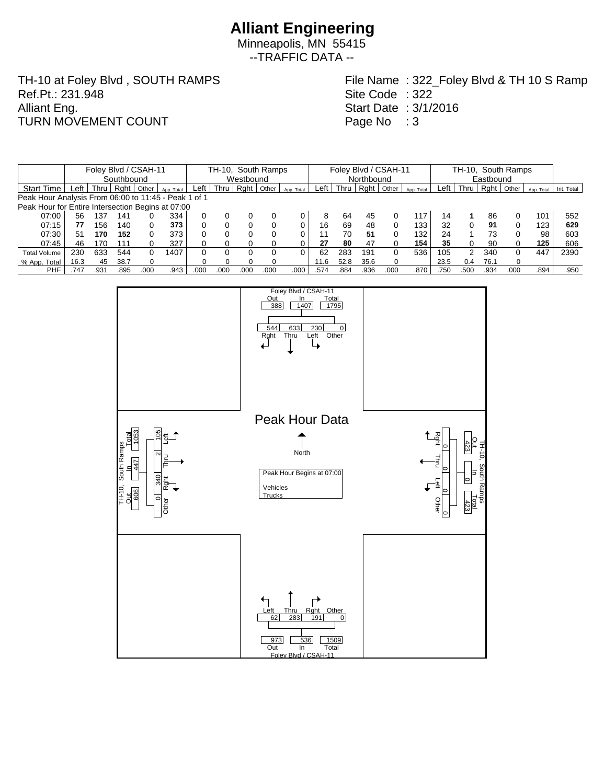Minneapolis, MN 55415 --TRAFFIC DATA --

TH-10 at Foley Blvd , SOUTH RAMPS Ref.Pt.: 231.948 Alliant Eng. TURN MOVEMENT COUNT

File Name : 322\_Foley Blvd & TH 10 S Ramp Site Code : 322 Start Date : 3/1/2016 Page No : 3

|                                                      |               |      |      | Foley Blvd / CSAH-11 |            | TH-10, South Ramps |           |      |       |            | Foley Blvd / CSAH-11 |      |            |       |            | TH-10, South Ramps |                      |      |       |            |            |
|------------------------------------------------------|---------------|------|------|----------------------|------------|--------------------|-----------|------|-------|------------|----------------------|------|------------|-------|------------|--------------------|----------------------|------|-------|------------|------------|
|                                                      | Southbound    |      |      |                      |            |                    | Westbound |      |       |            |                      |      | Northbound |       |            |                    |                      |      |       |            |            |
| <b>Start Time</b>                                    | $c$ eft $\pm$ | Thru | Rght | Other                | App. Total | Left               | Thru      | Rght | Other | App. Total | ∟eft                 | Thru | Raht       | Other | App. Total | Left               | Thru                 | Rght | Other | App. Total | Int. Total |
| Peak Hour Analysis From 06:00 to 11:45 - Peak 1 of 1 |               |      |      |                      |            |                    |           |      |       |            |                      |      |            |       |            |                    |                      |      |       |            |            |
| Peak Hour for Entire Intersection Begins at 07:00    |               |      |      |                      |            |                    |           |      |       |            |                      |      |            |       |            |                    |                      |      |       |            |            |
| 07:00                                                | 56            | 137  | 141  |                      | 334        |                    |           |      |       |            |                      | 64   | 45         | 0     | 117        |                    |                      | 86   | 0     | 101        | 552        |
| 07:15                                                | 77            | 156  | 140  |                      | 373        | 0                  |           |      |       | 0          | 16                   | 69   | 48         | 0     | 133        | 32                 |                      | 91   | 0     | 123        | 629        |
| 07:30                                                | 51            | 170  | 152  |                      | 373        | 0                  |           |      |       |            |                      | 70   | 51         | 0     | 132        | 24                 |                      | 73   |       | 98         | 603        |
| 07:45                                                | 46            | 170  | 111  |                      | 327        |                    |           |      |       | 0          | 27                   | 80   | 47         | 0     | 154        | 35                 |                      | 90   |       | 125        | 606        |
| <b>Total Volume</b>                                  | 230           | 633  | 544  |                      | 1407       | 0                  |           |      |       |            | 62                   | 283  | 191        | 0     | 536        | 105                | $\mathcal{P} \equiv$ | 340  | 0     | 447        | 2390       |
| % App. Total                                         | 16.3          | 45   | 38.7 |                      |            |                    |           |      |       |            | 11.6                 | 52.8 | 35.6       | 0     |            | 23.5               | 0.4                  | 76.1 |       |            |            |
| <b>PHF</b>                                           | .747          | .931 | .895 | .00C                 | .943       | .000               | 000       | .000 | .000  | .000       | .574                 | .884 | .936       | .000  | .870       | .750               | 500                  | .934 | .000  | 894        | .950       |